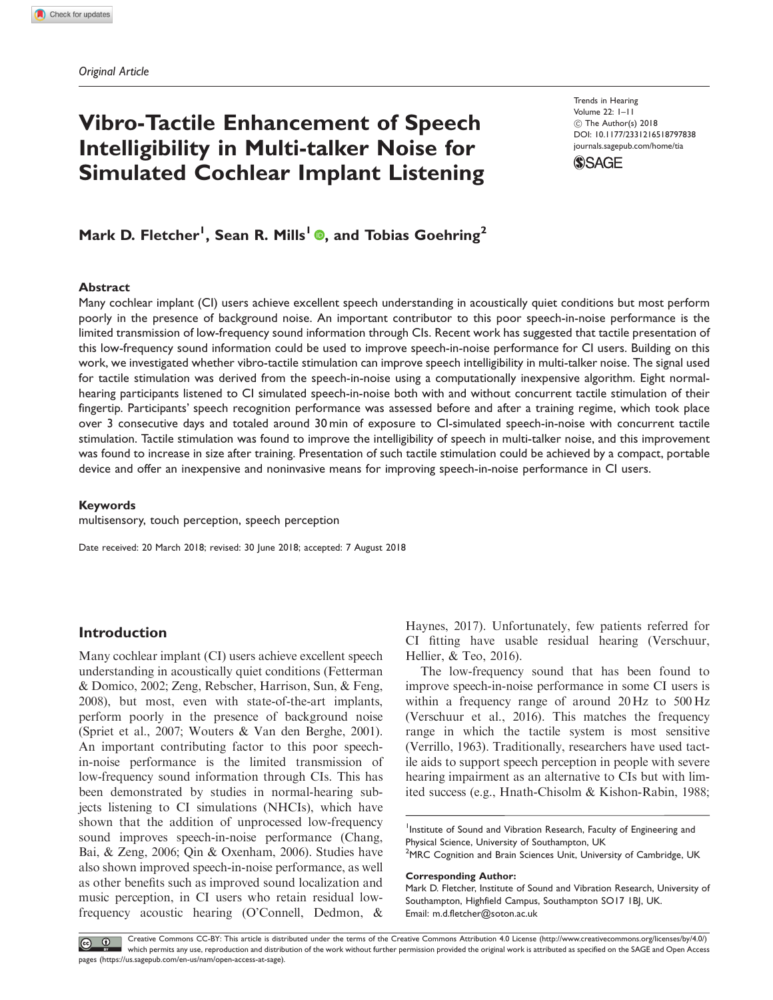# Vibro-Tactile Enhancement of Speech Intelligibility in Multi-talker Noise for Simulated Cochlear Implant Listening

Trends in Hearing Volume 22: 1–11  $\circledcirc$  The Author(s) 2018 DOI: [10.1177/2331216518797838](https://doi.org/10.1177/2331216518797838) <journals.sagepub.com/home/tia>

**SSAGE** 

# Mark D. Fletcher<sup>1</sup>, Sean R. Mills<sup>1</sup> ®, and Tobias Goehring<sup>2</sup>

# Abstract

Many cochlear implant (CI) users achieve excellent speech understanding in acoustically quiet conditions but most perform poorly in the presence of background noise. An important contributor to this poor speech-in-noise performance is the limited transmission of low-frequency sound information through CIs. Recent work has suggested that tactile presentation of this low-frequency sound information could be used to improve speech-in-noise performance for CI users. Building on this work, we investigated whether vibro-tactile stimulation can improve speech intelligibility in multi-talker noise. The signal used for tactile stimulation was derived from the speech-in-noise using a computationally inexpensive algorithm. Eight normalhearing participants listened to CI simulated speech-in-noise both with and without concurrent tactile stimulation of their fingertip. Participants' speech recognition performance was assessed before and after a training regime, which took place over 3 consecutive days and totaled around 30 min of exposure to CI-simulated speech-in-noise with concurrent tactile stimulation. Tactile stimulation was found to improve the intelligibility of speech in multi-talker noise, and this improvement was found to increase in size after training. Presentation of such tactile stimulation could be achieved by a compact, portable device and offer an inexpensive and noninvasive means for improving speech-in-noise performance in CI users.

#### Keywords

multisensory, touch perception, speech perception

Date received: 20 March 2018; revised: 30 June 2018; accepted: 7 August 2018

# Introduction

Many cochlear implant (CI) users achieve excellent speech understanding in acoustically quiet conditions (Fetterman & Domico, 2002; Zeng, Rebscher, Harrison, Sun, & Feng, 2008), but most, even with state-of-the-art implants, perform poorly in the presence of background noise (Spriet et al., 2007; Wouters & Van den Berghe, 2001). An important contributing factor to this poor speechin-noise performance is the limited transmission of low-frequency sound information through CIs. This has been demonstrated by studies in normal-hearing subjects listening to CI simulations (NHCIs), which have shown that the addition of unprocessed low-frequency sound improves speech-in-noise performance (Chang, Bai, & Zeng, 2006; Qin & Oxenham, 2006). Studies have also shown improved speech-in-noise performance, as well as other benefits such as improved sound localization and music perception, in CI users who retain residual lowfrequency acoustic hearing (O'Connell, Dedmon, &

Haynes, 2017). Unfortunately, few patients referred for CI fitting have usable residual hearing (Verschuur, Hellier, & Teo, 2016).

The low-frequency sound that has been found to improve speech-in-noise performance in some CI users is within a frequency range of around 20 Hz to 500 Hz (Verschuur et al., 2016). This matches the frequency range in which the tactile system is most sensitive (Verrillo, 1963). Traditionally, researchers have used tactile aids to support speech perception in people with severe hearing impairment as an alternative to CIs but with limited success (e.g., Hnath-Chisolm & Kishon-Rabin, 1988;

<sup>1</sup>Institute of Sound and Vibration Research, Faculty of Engineering and Physical Science, University of Southampton, UK

<sup>2</sup>MRC Cognition and Brain Sciences Unit, University of Cambridge, UK

Corresponding Author:

Creative Commons CC-BY: This article is distributed under the terms of the Creative Commons Attribution 4.0 License (http://www.creativecommons.org/licenses/by/4.0/)  $\boxed{6}$  0 which permits any use, reproduction and distribution of the work without further permission provided the original work is attributed as specified on the SAGE and Open Access pages (https://us.sagepub.com/en-us/nam/open-access-at-sage).

Mark D. Fletcher, Institute of Sound and Vibration Research, University of Southampton, Highfield Campus, Southampton SO17 1BJ, UK. Email: m.d.fletcher@soton.ac.uk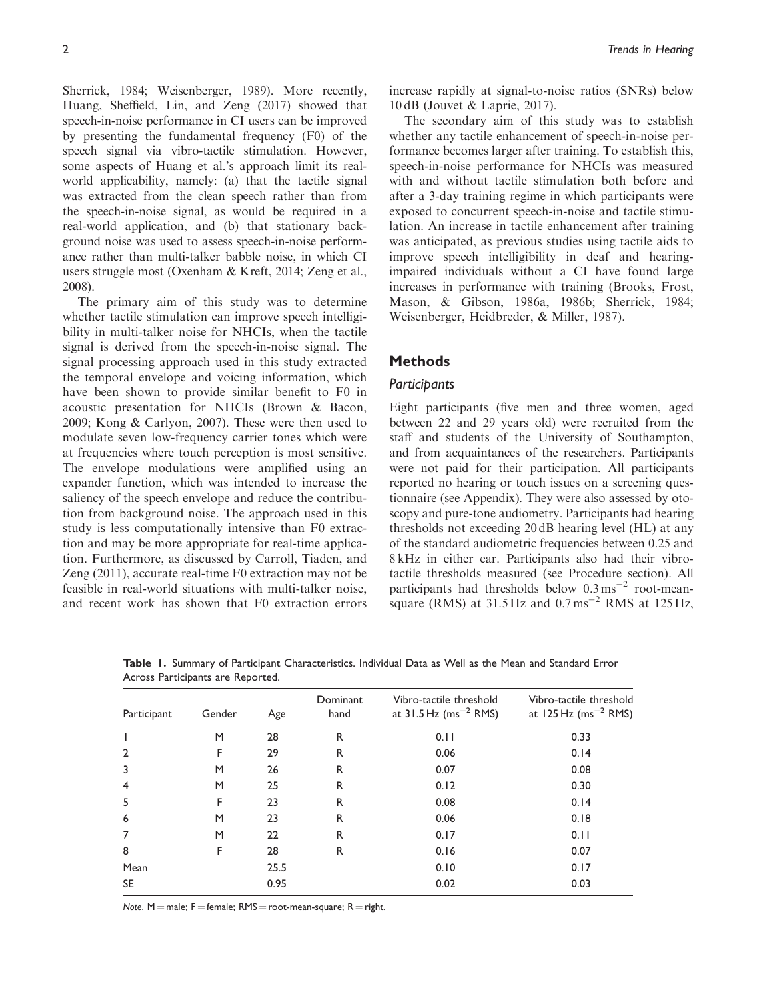Sherrick, 1984; Weisenberger, 1989). More recently, Huang, Sheffield, Lin, and Zeng (2017) showed that speech-in-noise performance in CI users can be improved by presenting the fundamental frequency (F0) of the speech signal via vibro-tactile stimulation. However, some aspects of Huang et al.'s approach limit its realworld applicability, namely: (a) that the tactile signal was extracted from the clean speech rather than from the speech-in-noise signal, as would be required in a real-world application, and (b) that stationary background noise was used to assess speech-in-noise performance rather than multi-talker babble noise, in which CI users struggle most (Oxenham & Kreft, 2014; Zeng et al., 2008).

The primary aim of this study was to determine whether tactile stimulation can improve speech intelligibility in multi-talker noise for NHCIs, when the tactile signal is derived from the speech-in-noise signal. The signal processing approach used in this study extracted the temporal envelope and voicing information, which have been shown to provide similar benefit to F0 in acoustic presentation for NHCIs (Brown & Bacon, 2009; Kong & Carlyon, 2007). These were then used to modulate seven low-frequency carrier tones which were at frequencies where touch perception is most sensitive. The envelope modulations were amplified using an expander function, which was intended to increase the saliency of the speech envelope and reduce the contribution from background noise. The approach used in this study is less computationally intensive than F0 extraction and may be more appropriate for real-time application. Furthermore, as discussed by Carroll, Tiaden, and Zeng (2011), accurate real-time F0 extraction may not be feasible in real-world situations with multi-talker noise, and recent work has shown that F0 extraction errors increase rapidly at signal-to-noise ratios (SNRs) below 10 dB (Jouvet & Laprie, 2017).

The secondary aim of this study was to establish whether any tactile enhancement of speech-in-noise performance becomes larger after training. To establish this, speech-in-noise performance for NHCIs was measured with and without tactile stimulation both before and after a 3-day training regime in which participants were exposed to concurrent speech-in-noise and tactile stimulation. An increase in tactile enhancement after training was anticipated, as previous studies using tactile aids to improve speech intelligibility in deaf and hearingimpaired individuals without a CI have found large increases in performance with training (Brooks, Frost, Mason, & Gibson, 1986a, 1986b; Sherrick, 1984; Weisenberger, Heidbreder, & Miller, 1987).

# Methods

#### **Participants**

Eight participants (five men and three women, aged between 22 and 29 years old) were recruited from the staff and students of the University of Southampton, and from acquaintances of the researchers. Participants were not paid for their participation. All participants reported no hearing or touch issues on a screening questionnaire (see Appendix). They were also assessed by otoscopy and pure-tone audiometry. Participants had hearing thresholds not exceeding 20 dB hearing level (HL) at any of the standard audiometric frequencies between 0.25 and 8 kHz in either ear. Participants also had their vibrotactile thresholds measured (see Procedure section). All participants had thresholds below  $0.3 \text{ ms}^{-2}$  root-meansquare (RMS) at  $31.5$  Hz and  $0.7$  ms<sup>-2</sup> RMS at  $125$  Hz,

| Participant    | Gender | Age  | Dominant<br>hand | Vibro-tactile threshold<br>at $31.5$ Hz (ms <sup>-2</sup> RMS) | Vibro-tactile threshold<br>at 125 Hz (ms <sup><math>-2</math></sup> RMS) |
|----------------|--------|------|------------------|----------------------------------------------------------------|--------------------------------------------------------------------------|
|                | M      | 28   | R                | 0.11                                                           | 0.33                                                                     |
| $\overline{2}$ | F      | 29   | R                | 0.06                                                           | 0.14                                                                     |
| 3              | M      | 26   | R                | 0.07                                                           | 0.08                                                                     |
| $\overline{4}$ | M      | 25   | R                | 0.12                                                           | 0.30                                                                     |
| 5              | F      | 23   | R                | 0.08                                                           | 0.14                                                                     |
| 6              | M      | 23   | R                | 0.06                                                           | 0.18                                                                     |
| $\overline{7}$ | M      | 22   | R                | 0.17                                                           | 0.11                                                                     |
| 8              | F      | 28   | R                | 0.16                                                           | 0.07                                                                     |
| Mean           |        | 25.5 |                  | 0.10                                                           | 0.17                                                                     |
| <b>SE</b>      |        | 0.95 |                  | 0.02                                                           | 0.03                                                                     |

Table 1. Summary of Participant Characteristics. Individual Data as Well as the Mean and Standard Error Across Participants are Reported.

Note. M = male; F = female;  $RMS = root-mean-square; R = right$ .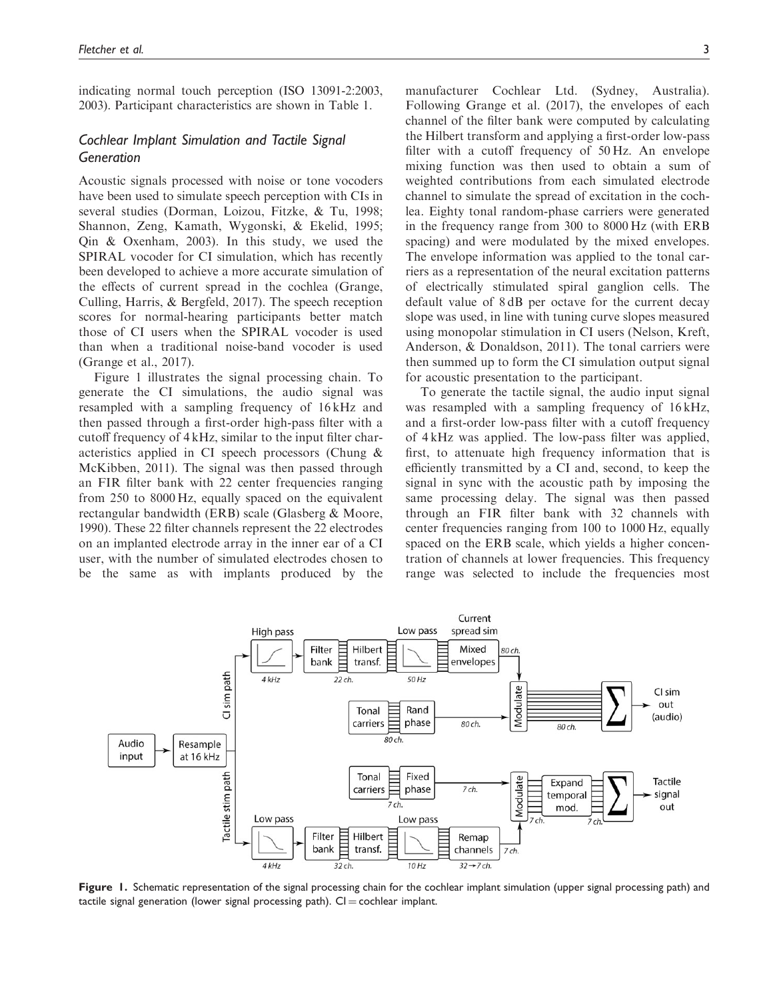indicating normal touch perception (ISO 13091-2:2003, 2003). Participant characteristics are shown in Table 1.

# Cochlear Implant Simulation and Tactile Signal Generation

Acoustic signals processed with noise or tone vocoders have been used to simulate speech perception with CIs in several studies (Dorman, Loizou, Fitzke, & Tu, 1998; Shannon, Zeng, Kamath, Wygonski, & Ekelid, 1995; Qin & Oxenham, 2003). In this study, we used the SPIRAL vocoder for CI simulation, which has recently been developed to achieve a more accurate simulation of the effects of current spread in the cochlea (Grange, Culling, Harris, & Bergfeld, 2017). The speech reception scores for normal-hearing participants better match those of CI users when the SPIRAL vocoder is used than when a traditional noise-band vocoder is used (Grange et al., 2017).

Figure 1 illustrates the signal processing chain. To generate the CI simulations, the audio signal was resampled with a sampling frequency of 16 kHz and then passed through a first-order high-pass filter with a cutoff frequency of 4 kHz, similar to the input filter characteristics applied in CI speech processors (Chung & McKibben, 2011). The signal was then passed through an FIR filter bank with 22 center frequencies ranging from 250 to 8000 Hz, equally spaced on the equivalent rectangular bandwidth (ERB) scale (Glasberg & Moore, 1990). These 22 filter channels represent the 22 electrodes on an implanted electrode array in the inner ear of a CI user, with the number of simulated electrodes chosen to be the same as with implants produced by the

manufacturer Cochlear Ltd. (Sydney, Australia). Following Grange et al. (2017), the envelopes of each channel of the filter bank were computed by calculating the Hilbert transform and applying a first-order low-pass filter with a cutoff frequency of 50 Hz. An envelope mixing function was then used to obtain a sum of weighted contributions from each simulated electrode channel to simulate the spread of excitation in the cochlea. Eighty tonal random-phase carriers were generated in the frequency range from 300 to 8000 Hz (with ERB spacing) and were modulated by the mixed envelopes. The envelope information was applied to the tonal carriers as a representation of the neural excitation patterns of electrically stimulated spiral ganglion cells. The default value of 8 dB per octave for the current decay slope was used, in line with tuning curve slopes measured using monopolar stimulation in CI users (Nelson, Kreft, Anderson, & Donaldson, 2011). The tonal carriers were then summed up to form the CI simulation output signal for acoustic presentation to the participant.

To generate the tactile signal, the audio input signal was resampled with a sampling frequency of 16 kHz, and a first-order low-pass filter with a cutoff frequency of 4 kHz was applied. The low-pass filter was applied, first, to attenuate high frequency information that is efficiently transmitted by a CI and, second, to keep the signal in sync with the acoustic path by imposing the same processing delay. The signal was then passed through an FIR filter bank with 32 channels with center frequencies ranging from 100 to 1000 Hz, equally spaced on the ERB scale, which yields a higher concentration of channels at lower frequencies. This frequency range was selected to include the frequencies most



Figure 1. Schematic representation of the signal processing chain for the cochlear implant simulation (upper signal processing path) and tactile signal generation (lower signal processing path).  $Cl =$  cochlear implant.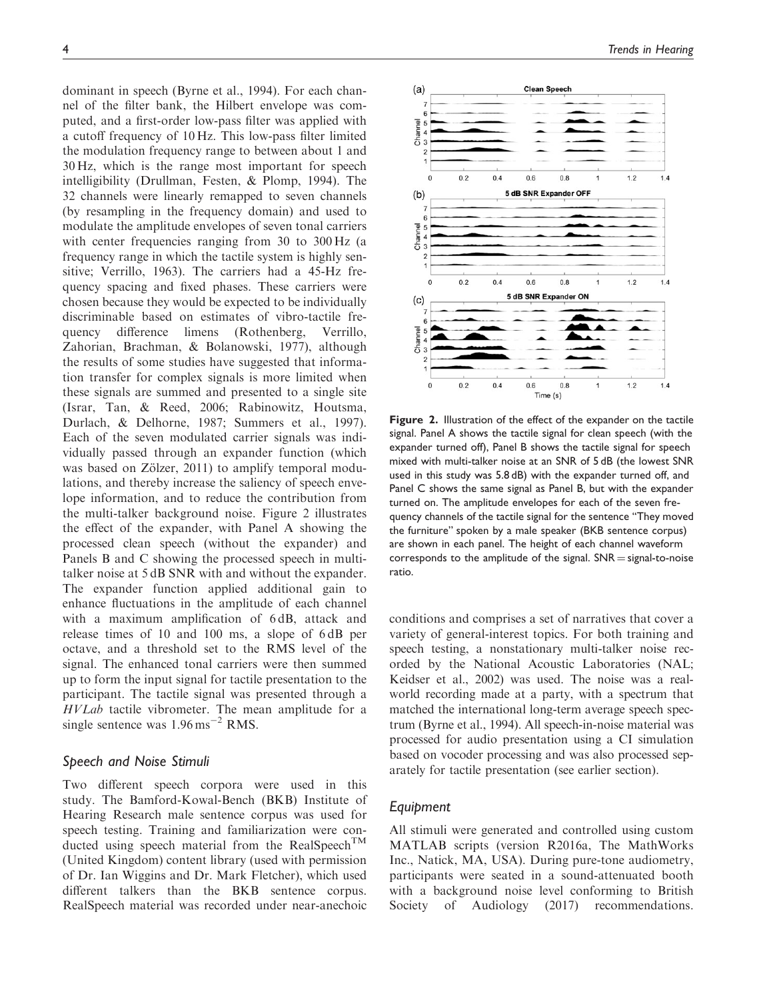dominant in speech (Byrne et al., 1994). For each channel of the filter bank, the Hilbert envelope was computed, and a first-order low-pass filter was applied with a cutoff frequency of 10 Hz. This low-pass filter limited the modulation frequency range to between about 1 and 30 Hz, which is the range most important for speech intelligibility (Drullman, Festen, & Plomp, 1994). The 32 channels were linearly remapped to seven channels (by resampling in the frequency domain) and used to modulate the amplitude envelopes of seven tonal carriers with center frequencies ranging from 30 to 300 Hz (a frequency range in which the tactile system is highly sensitive; Verrillo, 1963). The carriers had a 45-Hz frequency spacing and fixed phases. These carriers were chosen because they would be expected to be individually discriminable based on estimates of vibro-tactile frequency difference limens (Rothenberg, Verrillo, Zahorian, Brachman, & Bolanowski, 1977), although the results of some studies have suggested that information transfer for complex signals is more limited when these signals are summed and presented to a single site (Israr, Tan, & Reed, 2006; Rabinowitz, Houtsma, Durlach, & Delhorne, 1987; Summers et al., 1997). Each of the seven modulated carrier signals was individually passed through an expander function (which was based on Zölzer, 2011) to amplify temporal modulations, and thereby increase the saliency of speech envelope information, and to reduce the contribution from the multi-talker background noise. Figure 2 illustrates the effect of the expander, with Panel A showing the processed clean speech (without the expander) and Panels B and C showing the processed speech in multitalker noise at 5 dB SNR with and without the expander. The expander function applied additional gain to enhance fluctuations in the amplitude of each channel with a maximum amplification of 6 dB, attack and release times of 10 and 100 ms, a slope of 6 dB per octave, and a threshold set to the RMS level of the signal. The enhanced tonal carriers were then summed up to form the input signal for tactile presentation to the participant. The tactile signal was presented through a HVLab tactile vibrometer. The mean amplitude for a single sentence was  $1.96 \,\mathrm{ms}^{-2}$  RMS.

#### Speech and Noise Stimuli

Two different speech corpora were used in this study. The Bamford-Kowal-Bench (BKB) Institute of Hearing Research male sentence corpus was used for speech testing. Training and familiarization were conducted using speech material from the RealSpeech<sup>TM</sup> (United Kingdom) content library (used with permission of Dr. Ian Wiggins and Dr. Mark Fletcher), which used different talkers than the BKB sentence corpus. RealSpeech material was recorded under near-anechoic



Figure 2. Illustration of the effect of the expander on the tactile signal. Panel A shows the tactile signal for clean speech (with the expander turned off), Panel B shows the tactile signal for speech mixed with multi-talker noise at an SNR of 5 dB (the lowest SNR used in this study was 5.8 dB) with the expander turned off, and Panel C shows the same signal as Panel B, but with the expander turned on. The amplitude envelopes for each of the seven frequency channels of the tactile signal for the sentence ''They moved the furniture'' spoken by a male speaker (BKB sentence corpus) are shown in each panel. The height of each channel waveform corresponds to the amplitude of the signal.  $SNR = signal-to-noise$ ratio.

conditions and comprises a set of narratives that cover a variety of general-interest topics. For both training and speech testing, a nonstationary multi-talker noise recorded by the National Acoustic Laboratories (NAL; Keidser et al., 2002) was used. The noise was a realworld recording made at a party, with a spectrum that matched the international long-term average speech spectrum (Byrne et al., 1994). All speech-in-noise material was processed for audio presentation using a CI simulation based on vocoder processing and was also processed separately for tactile presentation (see earlier section).

# Equipment

All stimuli were generated and controlled using custom MATLAB scripts (version R2016a, The MathWorks Inc., Natick, MA, USA). During pure-tone audiometry, participants were seated in a sound-attenuated booth with a background noise level conforming to British Society of Audiology (2017) recommendations.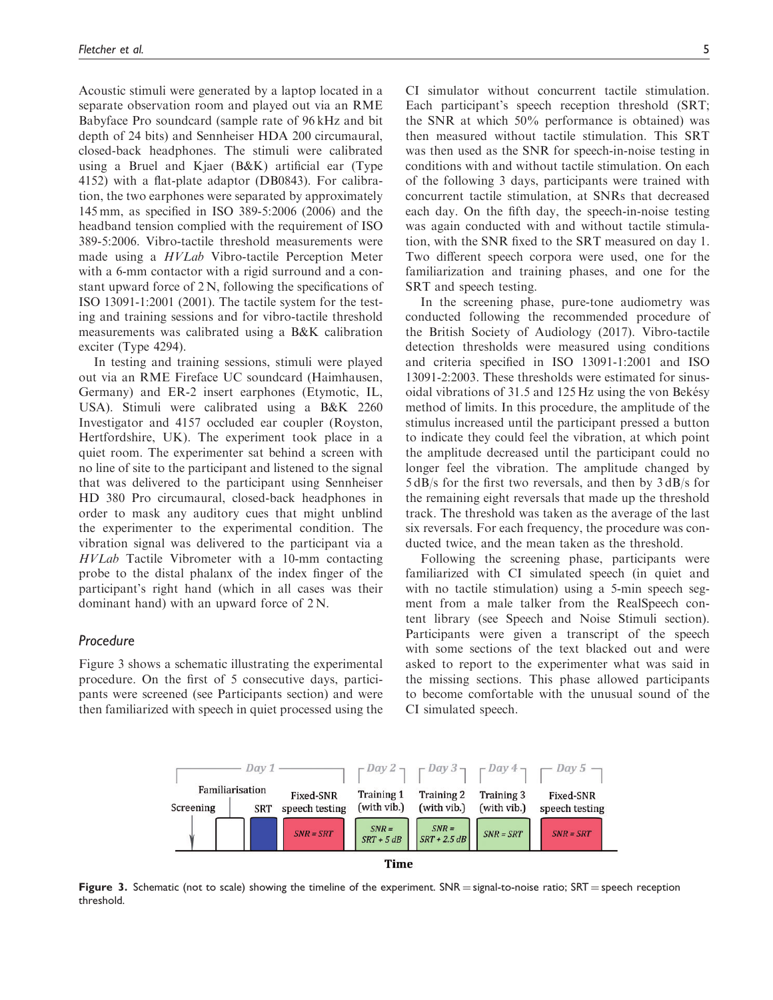Acoustic stimuli were generated by a laptop located in a separate observation room and played out via an RME Babyface Pro soundcard (sample rate of 96 kHz and bit depth of 24 bits) and Sennheiser HDA 200 circumaural, closed-back headphones. The stimuli were calibrated using a Bruel and Kjaer (B&K) artificial ear (Type 4152) with a flat-plate adaptor (DB0843). For calibration, the two earphones were separated by approximately 145 mm, as specified in ISO 389-5:2006 (2006) and the headband tension complied with the requirement of ISO 389-5:2006. Vibro-tactile threshold measurements were made using a HVLab Vibro-tactile Perception Meter with a 6-mm contactor with a rigid surround and a constant upward force of 2 N, following the specifications of ISO 13091-1:2001 (2001). The tactile system for the testing and training sessions and for vibro-tactile threshold measurements was calibrated using a B&K calibration exciter (Type 4294).

In testing and training sessions, stimuli were played out via an RME Fireface UC soundcard (Haimhausen, Germany) and ER-2 insert earphones (Etymotic, IL, USA). Stimuli were calibrated using a B&K 2260 Investigator and 4157 occluded ear coupler (Royston, Hertfordshire, UK). The experiment took place in a quiet room. The experimenter sat behind a screen with no line of site to the participant and listened to the signal that was delivered to the participant using Sennheiser HD 380 Pro circumaural, closed-back headphones in order to mask any auditory cues that might unblind the experimenter to the experimental condition. The vibration signal was delivered to the participant via a HVLab Tactile Vibrometer with a 10-mm contacting probe to the distal phalanx of the index finger of the participant's right hand (which in all cases was their dominant hand) with an upward force of 2 N.

#### Procedure

Figure 3 shows a schematic illustrating the experimental procedure. On the first of 5 consecutive days, participants were screened (see Participants section) and were then familiarized with speech in quiet processed using the

CI simulator without concurrent tactile stimulation. Each participant's speech reception threshold (SRT; the SNR at which 50% performance is obtained) was then measured without tactile stimulation. This SRT was then used as the SNR for speech-in-noise testing in conditions with and without tactile stimulation. On each of the following 3 days, participants were trained with concurrent tactile stimulation, at SNRs that decreased each day. On the fifth day, the speech-in-noise testing was again conducted with and without tactile stimulation, with the SNR fixed to the SRT measured on day 1. Two different speech corpora were used, one for the familiarization and training phases, and one for the SRT and speech testing.

In the screening phase, pure-tone audiometry was conducted following the recommended procedure of the British Society of Audiology (2017). Vibro-tactile detection thresholds were measured using conditions and criteria specified in ISO 13091-1:2001 and ISO 13091-2:2003. These thresholds were estimated for sinusoidal vibrations of  $31.5$  and  $125 \text{ Hz}$  using the von Bekésy method of limits. In this procedure, the amplitude of the stimulus increased until the participant pressed a button to indicate they could feel the vibration, at which point the amplitude decreased until the participant could no longer feel the vibration. The amplitude changed by 5 dB/s for the first two reversals, and then by 3 dB/s for the remaining eight reversals that made up the threshold track. The threshold was taken as the average of the last six reversals. For each frequency, the procedure was conducted twice, and the mean taken as the threshold.

Following the screening phase, participants were familiarized with CI simulated speech (in quiet and with no tactile stimulation) using a 5-min speech segment from a male talker from the RealSpeech content library (see Speech and Noise Stimuli section). Participants were given a transcript of the speech with some sections of the text blacked out and were asked to report to the experimenter what was said in the missing sections. This phase allowed participants to become comfortable with the unusual sound of the CI simulated speech.



Figure 3. Schematic (not to scale) showing the timeline of the experiment.  $SNR = signal-to-noise$  ratio;  $SR =$  speech reception threshold.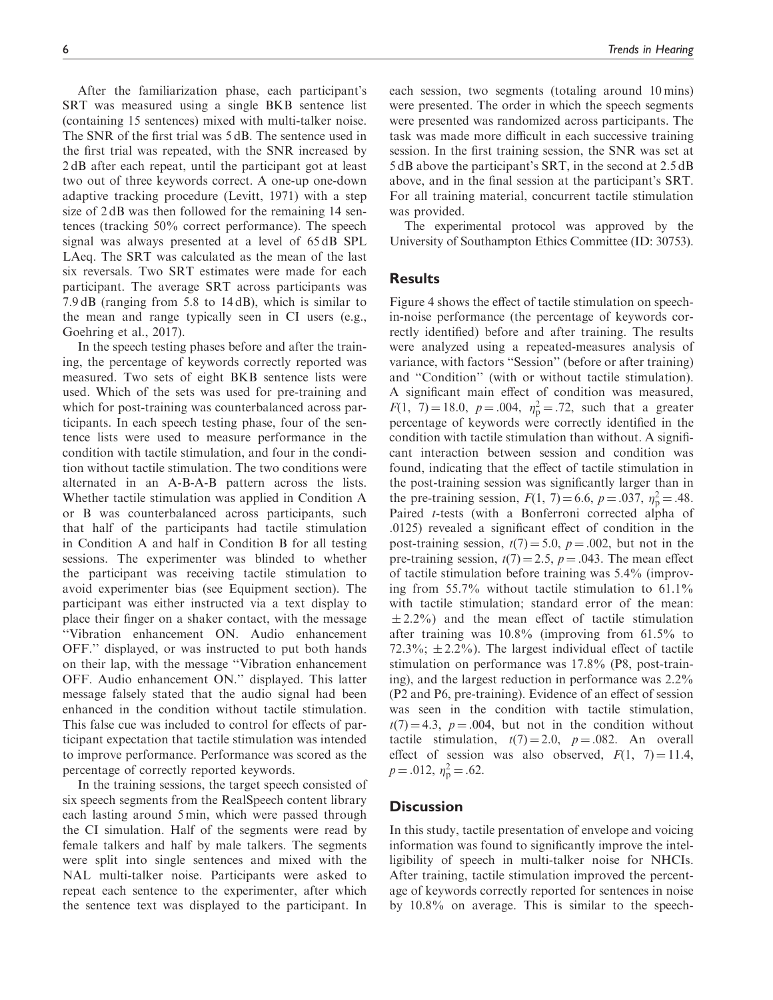After the familiarization phase, each participant's SRT was measured using a single BKB sentence list (containing 15 sentences) mixed with multi-talker noise. The SNR of the first trial was 5 dB. The sentence used in the first trial was repeated, with the SNR increased by 2 dB after each repeat, until the participant got at least two out of three keywords correct. A one-up one-down adaptive tracking procedure (Levitt, 1971) with a step size of 2 dB was then followed for the remaining 14 sentences (tracking 50% correct performance). The speech signal was always presented at a level of 65 dB SPL LAeq. The SRT was calculated as the mean of the last six reversals. Two SRT estimates were made for each participant. The average SRT across participants was 7.9 dB (ranging from 5.8 to 14 dB), which is similar to the mean and range typically seen in CI users (e.g., Goehring et al., 2017).

In the speech testing phases before and after the training, the percentage of keywords correctly reported was measured. Two sets of eight BKB sentence lists were used. Which of the sets was used for pre-training and which for post-training was counterbalanced across participants. In each speech testing phase, four of the sentence lists were used to measure performance in the condition with tactile stimulation, and four in the condition without tactile stimulation. The two conditions were alternated in an A-B-A-B pattern across the lists. Whether tactile stimulation was applied in Condition A or B was counterbalanced across participants, such that half of the participants had tactile stimulation in Condition A and half in Condition B for all testing sessions. The experimenter was blinded to whether the participant was receiving tactile stimulation to avoid experimenter bias (see Equipment section). The participant was either instructed via a text display to place their finger on a shaker contact, with the message ''Vibration enhancement ON. Audio enhancement OFF.'' displayed, or was instructed to put both hands on their lap, with the message ''Vibration enhancement OFF. Audio enhancement ON.'' displayed. This latter message falsely stated that the audio signal had been enhanced in the condition without tactile stimulation. This false cue was included to control for effects of participant expectation that tactile stimulation was intended to improve performance. Performance was scored as the percentage of correctly reported keywords.

In the training sessions, the target speech consisted of six speech segments from the RealSpeech content library each lasting around 5 min, which were passed through the CI simulation. Half of the segments were read by female talkers and half by male talkers. The segments were split into single sentences and mixed with the NAL multi-talker noise. Participants were asked to repeat each sentence to the experimenter, after which the sentence text was displayed to the participant. In each session, two segments (totaling around 10 mins) were presented. The order in which the speech segments were presented was randomized across participants. The task was made more difficult in each successive training session. In the first training session, the SNR was set at 5 dB above the participant's SRT, in the second at 2.5 dB above, and in the final session at the participant's SRT. For all training material, concurrent tactile stimulation was provided.

The experimental protocol was approved by the University of Southampton Ethics Committee (ID: 30753).

# **Results**

Figure 4 shows the effect of tactile stimulation on speechin-noise performance (the percentage of keywords correctly identified) before and after training. The results were analyzed using a repeated-measures analysis of variance, with factors ''Session'' (before or after training) and ''Condition'' (with or without tactile stimulation). A significant main effect of condition was measured,  $F(1, 7) = 18.0, p = .004, \eta_p^2 = .72$ , such that a greater percentage of keywords were correctly identified in the condition with tactile stimulation than without. A significant interaction between session and condition was found, indicating that the effect of tactile stimulation in the post-training session was significantly larger than in the pre-training session,  $F(1, 7) = 6.6$ ,  $p = .037$ ,  $\eta_p^2 = .48$ . Paired t-tests (with a Bonferroni corrected alpha of .0125) revealed a significant effect of condition in the post-training session,  $t(7) = 5.0$ ,  $p = .002$ , but not in the pre-training session,  $t(7) = 2.5$ ,  $p = .043$ . The mean effect of tactile stimulation before training was 5.4% (improving from 55.7% without tactile stimulation to 61.1% with tactile stimulation; standard error of the mean:  $\pm 2.2\%$ ) and the mean effect of tactile stimulation after training was 10.8% (improving from 61.5% to 72.3%;  $\pm$  2.2%). The largest individual effect of tactile stimulation on performance was 17.8% (P8, post-training), and the largest reduction in performance was 2.2% (P2 and P6, pre-training). Evidence of an effect of session was seen in the condition with tactile stimulation,  $t(7) = 4.3$ ,  $p = .004$ , but not in the condition without tactile stimulation,  $t(7) = 2.0$ ,  $p = .082$ . An overall effect of session was also observed,  $F(1, 7) = 11.4$ ,  $p = .012, \eta_{\rm p}^2 = .62.$ 

#### **Discussion**

In this study, tactile presentation of envelope and voicing information was found to significantly improve the intelligibility of speech in multi-talker noise for NHCIs. After training, tactile stimulation improved the percentage of keywords correctly reported for sentences in noise by 10.8% on average. This is similar to the speech-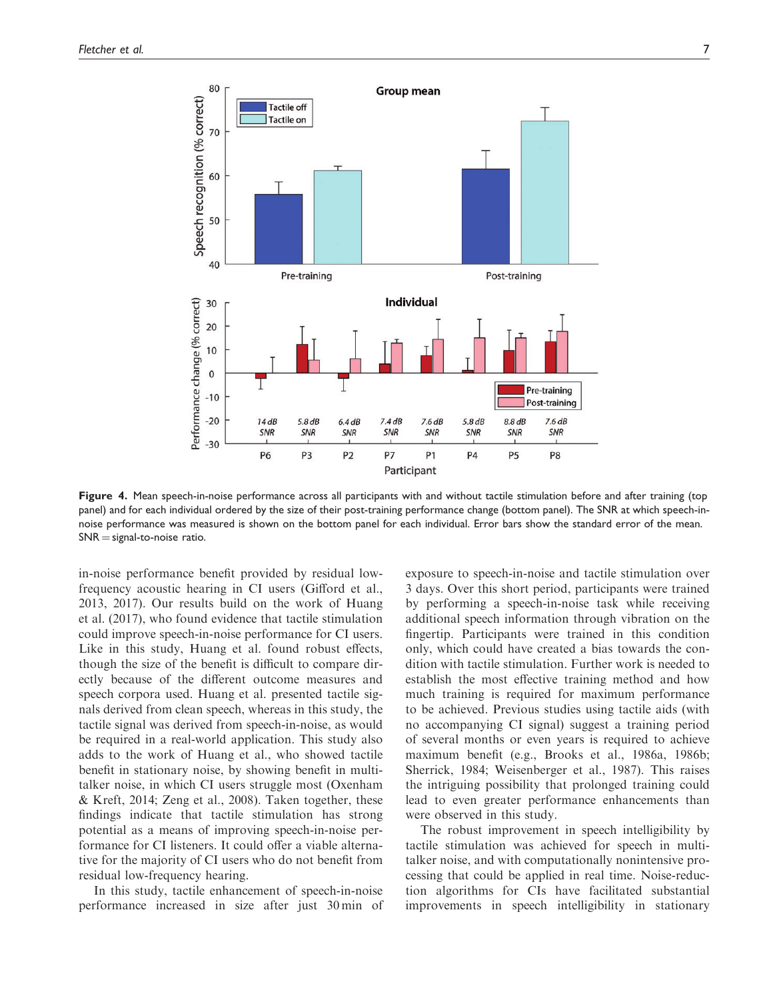

Figure 4. Mean speech-in-noise performance across all participants with and without tactile stimulation before and after training (top panel) and for each individual ordered by the size of their post-training performance change (bottom panel). The SNR at which speech-innoise performance was measured is shown on the bottom panel for each individual. Error bars show the standard error of the mean.  $SNR = signal-to-noise ratio.$ 

in-noise performance benefit provided by residual lowfrequency acoustic hearing in CI users (Gifford et al., 2013, 2017). Our results build on the work of Huang et al. (2017), who found evidence that tactile stimulation could improve speech-in-noise performance for CI users. Like in this study, Huang et al. found robust effects, though the size of the benefit is difficult to compare directly because of the different outcome measures and speech corpora used. Huang et al. presented tactile signals derived from clean speech, whereas in this study, the tactile signal was derived from speech-in-noise, as would be required in a real-world application. This study also adds to the work of Huang et al., who showed tactile benefit in stationary noise, by showing benefit in multitalker noise, in which CI users struggle most (Oxenham & Kreft, 2014; Zeng et al., 2008). Taken together, these findings indicate that tactile stimulation has strong potential as a means of improving speech-in-noise performance for CI listeners. It could offer a viable alternative for the majority of CI users who do not benefit from residual low-frequency hearing.

In this study, tactile enhancement of speech-in-noise performance increased in size after just 30 min of

exposure to speech-in-noise and tactile stimulation over 3 days. Over this short period, participants were trained by performing a speech-in-noise task while receiving additional speech information through vibration on the fingertip. Participants were trained in this condition only, which could have created a bias towards the condition with tactile stimulation. Further work is needed to establish the most effective training method and how much training is required for maximum performance to be achieved. Previous studies using tactile aids (with no accompanying CI signal) suggest a training period of several months or even years is required to achieve maximum benefit (e.g., Brooks et al., 1986a, 1986b; Sherrick, 1984; Weisenberger et al., 1987). This raises the intriguing possibility that prolonged training could lead to even greater performance enhancements than were observed in this study.

The robust improvement in speech intelligibility by tactile stimulation was achieved for speech in multitalker noise, and with computationally nonintensive processing that could be applied in real time. Noise-reduction algorithms for CIs have facilitated substantial improvements in speech intelligibility in stationary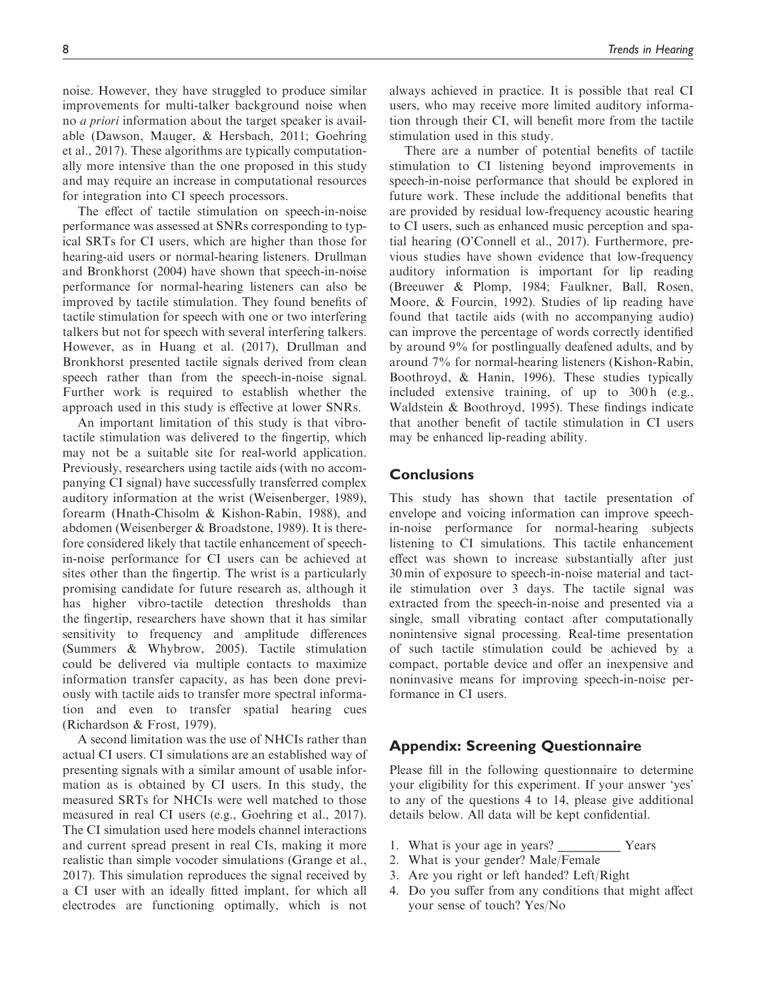noise. However, they have struggled to produce similar improvements for multi-talker background noise when no a priori information about the target speaker is available (Dawson, Mauger, & Hersbach, 2011; Goehring et al., 2017). These algorithms are typically computationally more intensive than the one proposed in this study and may require an increase in computational resources for integration into CI speech processors.

The effect of tactile stimulation on speech-in-noise performance was assessed at SNRs corresponding to typical SRTs for CI users, which are higher than those for hearing-aid users or normal-hearing listeners. Drullman and Bronkhorst (2004) have shown that speech-in-noise performance for normal-hearing listeners can also be improved by tactile stimulation. They found benefits of tactile stimulation for speech with one or two interfering talkers but not for speech with several interfering talkers. However, as in Huang et al. (2017), Drullman and Bronkhorst presented tactile signals derived from clean speech rather than from the speech-in-noise signal. Further work is required to establish whether the approach used in this study is effective at lower SNRs.

An important limitation of this study is that vibrotactile stimulation was delivered to the fingertip, which may not be a suitable site for real-world application. Previously, researchers using tactile aids (with no accompanying CI signal) have successfully transferred complex auditory information at the wrist (Weisenberger, 1989), forearm (Hnath-Chisolm & Kishon-Rabin, 1988), and abdomen (Weisenberger & Broadstone, 1989). It is therefore considered likely that tactile enhancement of speechin-noise performance for CI users can be achieved at sites other than the fingertip. The wrist is a particularly promising candidate for future research as, although it has higher vibro-tactile detection thresholds than the fingertip, researchers have shown that it has similar sensitivity to frequency and amplitude differences (Summers & Whybrow, 2005). Tactile stimulation could be delivered via multiple contacts to maximize information transfer capacity, as has been done previously with tactile aids to transfer more spectral information and even to transfer spatial hearing cues (Richardson & Frost, 1979).

A second limitation was the use of NHCIs rather than actual CI users. CI simulations are an established way of presenting signals with a similar amount of usable information as is obtained by CI users. In this study, the measured SRTs for NHCIs were well matched to those measured in real CI users (e.g., Goehring et al., 2017). The CI simulation used here models channel interactions and current spread present in real CIs, making it more realistic than simple vocoder simulations (Grange et al., 2017). This simulation reproduces the signal received by a CI user with an ideally fitted implant, for which all electrodes are functioning optimally, which is not always achieved in practice. It is possible that real CI users, who may receive more limited auditory information through their CI, will benefit more from the tactile stimulation used in this study.

There are a number of potential benefits of tactile stimulation to CI listening beyond improvements in speech-in-noise performance that should be explored in future work. These include the additional benefits that are provided by residual low-frequency acoustic hearing to CI users, such as enhanced music perception and spatial hearing (O'Connell et al., 2017). Furthermore, previous studies have shown evidence that low-frequency auditory information is important for lip reading (Breeuwer & Plomp, 1984; Faulkner, Ball, Rosen, Moore, & Fourcin, 1992). Studies of lip reading have found that tactile aids (with no accompanying audio) can improve the percentage of words correctly identified by around 9% for postlingually deafened adults, and by around 7% for normal-hearing listeners (Kishon-Rabin, Boothroyd, & Hanin, 1996). These studies typically included extensive training, of up to 300 h (e.g., Waldstein & Boothroyd, 1995). These findings indicate that another benefit of tactile stimulation in CI users may be enhanced lip-reading ability.

# **Conclusions**

This study has shown that tactile presentation of envelope and voicing information can improve speechin-noise performance for normal-hearing subjects listening to CI simulations. This tactile enhancement effect was shown to increase substantially after just 30 min of exposure to speech-in-noise material and tactile stimulation over 3 days. The tactile signal was extracted from the speech-in-noise and presented via a single, small vibrating contact after computationally nonintensive signal processing. Real-time presentation of such tactile stimulation could be achieved by a compact, portable device and offer an inexpensive and noninvasive means for improving speech-in-noise performance in CI users.

# Appendix: Screening Questionnaire

Please fill in the following questionnaire to determine your eligibility for this experiment. If your answer 'yes' to any of the questions 4 to 14, please give additional details below. All data will be kept confidential.

- 1. What is your age in years? \_\_\_\_\_\_\_\_\_\_ Years
- 2. What is your gender? Male/Female
- 3. Are you right or left handed? Left/Right
- 4. Do you suffer from any conditions that might affect your sense of touch? Yes/No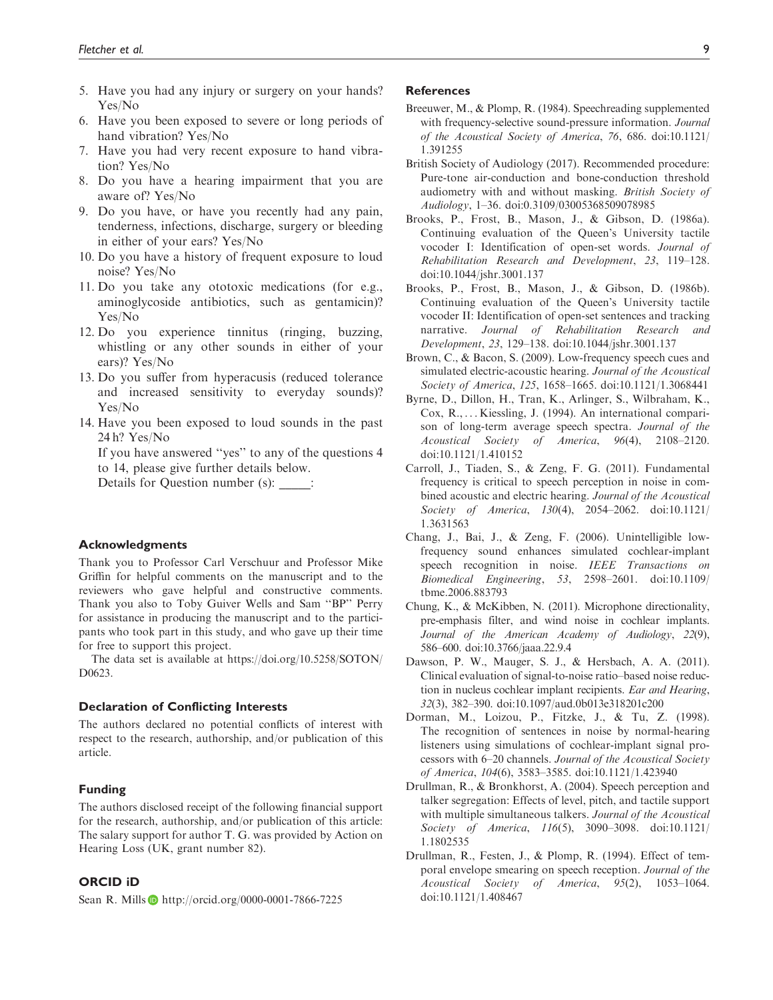- 5. Have you had any injury or surgery on your hands? Yes/No
- 6. Have you been exposed to severe or long periods of hand vibration? Yes/No
- 7. Have you had very recent exposure to hand vibration? Yes/No
- 8. Do you have a hearing impairment that you are aware of? Yes/No
- 9. Do you have, or have you recently had any pain, tenderness, infections, discharge, surgery or bleeding in either of your ears? Yes/No
- 10. Do you have a history of frequent exposure to loud noise? Yes/No
- 11. Do you take any ototoxic medications (for e.g., aminoglycoside antibiotics, such as gentamicin)? Yes/No
- 12. Do you experience tinnitus (ringing, buzzing, whistling or any other sounds in either of your ears)? Yes/No
- 13. Do you suffer from hyperacusis (reduced tolerance and increased sensitivity to everyday sounds)? Yes/No
- 14. Have you been exposed to loud sounds in the past 24 h? Yes/No

If you have answered ''yes'' to any of the questions 4 to 14, please give further details below.

Details for Question number (s):  $\qquad$ :

#### Acknowledgments

Thank you to Professor Carl Verschuur and Professor Mike Griffin for helpful comments on the manuscript and to the reviewers who gave helpful and constructive comments. Thank you also to Toby Guiver Wells and Sam ''BP'' Perry for assistance in producing the manuscript and to the participants who took part in this study, and who gave up their time for free to support this project.

The data set is available at [https://doi.org/10.5258/SOTON/](https://doi.org/10.5258/SOTON/D0623) [D0623](https://doi.org/10.5258/SOTON/D0623).

#### Declaration of Conflicting Interests

The authors declared no potential conflicts of interest with respect to the research, authorship, and/or publication of this article.

#### Funding

The authors disclosed receipt of the following financial support for the research, authorship, and/or publication of this article: The salary support for author T. G. was provided by Action on Hearing Loss (UK, grant number 82).

#### ORCID iD

Sean R. Mills **b** <http://orcid.org/0000-0001-7866-7225>

#### **References**

- Breeuwer, M., & Plomp, R. (1984). Speechreading supplemented with frequency-selective sound-pressure information. Journal of the Acoustical Society of America, 76, 686. doi:10.1121/ 1.391255
- British Society of Audiology (2017). Recommended procedure: Pure-tone air-conduction and bone-conduction threshold audiometry with and without masking. British Society of Audiology, 1–36. doi:0.3109/03005368509078985
- Brooks, P., Frost, B., Mason, J., & Gibson, D. (1986a). Continuing evaluation of the Queen's University tactile vocoder I: Identification of open-set words. Journal of Rehabilitation Research and Development, 23, 119–128. doi:10.1044/jshr.3001.137
- Brooks, P., Frost, B., Mason, J., & Gibson, D. (1986b). Continuing evaluation of the Queen's University tactile vocoder II: Identification of open-set sentences and tracking narrative. Journal of Rehabilitation Research and Development, 23, 129–138. doi:10.1044/jshr.3001.137
- Brown, C., & Bacon, S. (2009). Low-frequency speech cues and simulated electric-acoustic hearing. Journal of the Acoustical Society of America, 125, 1658–1665. doi:10.1121/1.3068441
- Byrne, D., Dillon, H., Tran, K., Arlinger, S., Wilbraham, K., Cox, R., ... Kiessling, J. (1994). An international comparison of long-term average speech spectra. Journal of the Acoustical Society of America, 96(4), 2108–2120. doi:10.1121/1.410152
- Carroll, J., Tiaden, S., & Zeng, F. G. (2011). Fundamental frequency is critical to speech perception in noise in combined acoustic and electric hearing. Journal of the Acoustical Society of America, 130(4), 2054–2062. doi:10.1121/ 1.3631563
- Chang, J., Bai, J., & Zeng, F. (2006). Unintelligible lowfrequency sound enhances simulated cochlear-implant speech recognition in noise. IEEE Transactions on Biomedical Engineering, 53, 2598–2601. doi:10.1109/ tbme.2006.883793
- Chung, K., & McKibben, N. (2011). Microphone directionality, pre-emphasis filter, and wind noise in cochlear implants. Journal of the American Academy of Audiology, 22(9), 586–600. doi:10.3766/jaaa.22.9.4
- Dawson, P. W., Mauger, S. J., & Hersbach, A. A. (2011). Clinical evaluation of signal-to-noise ratio–based noise reduction in nucleus cochlear implant recipients. Ear and Hearing, 32(3), 382–390. doi:10.1097/aud.0b013e318201c200
- Dorman, M., Loizou, P., Fitzke, J., & Tu, Z. (1998). The recognition of sentences in noise by normal-hearing listeners using simulations of cochlear-implant signal processors with 6–20 channels. Journal of the Acoustical Society of America, 104(6), 3583–3585. doi:10.1121/1.423940
- Drullman, R., & Bronkhorst, A. (2004). Speech perception and talker segregation: Effects of level, pitch, and tactile support with multiple simultaneous talkers. Journal of the Acoustical Society of America, 116(5), 3090–3098. doi:10.1121/ 1.1802535
- Drullman, R., Festen, J., & Plomp, R. (1994). Effect of temporal envelope smearing on speech reception. Journal of the Acoustical Society of America, 95(2), 1053–1064. doi:10.1121/1.408467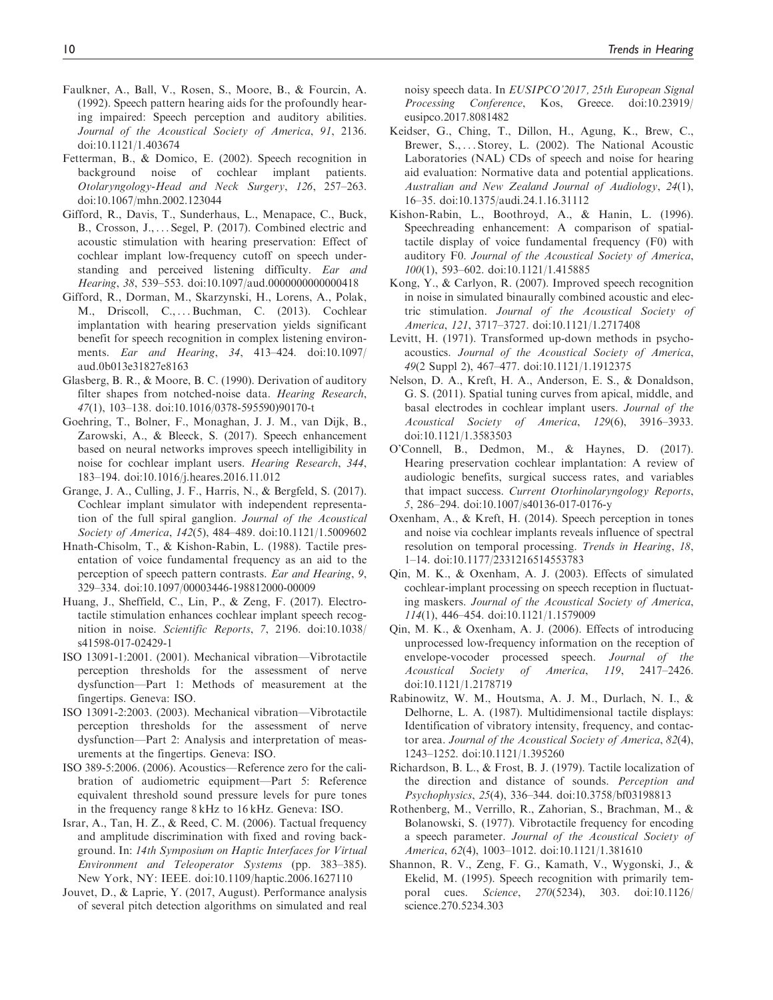- Faulkner, A., Ball, V., Rosen, S., Moore, B., & Fourcin, A. (1992). Speech pattern hearing aids for the profoundly hearing impaired: Speech perception and auditory abilities. Journal of the Acoustical Society of America, 91, 2136. doi:10.1121/1.403674
- Fetterman, B., & Domico, E. (2002). Speech recognition in background noise of cochlear implant patients. Otolaryngology-Head and Neck Surgery, 126, 257–263. doi:10.1067/mhn.2002.123044
- Gifford, R., Davis, T., Sunderhaus, L., Menapace, C., Buck, B., Crosson, J., ... Segel, P. (2017). Combined electric and acoustic stimulation with hearing preservation: Effect of cochlear implant low-frequency cutoff on speech understanding and perceived listening difficulty. Ear and Hearing, 38, 539–553. doi:10.1097/aud.0000000000000418
- Gifford, R., Dorman, M., Skarzynski, H., Lorens, A., Polak, M., Driscoll, C., ...Buchman, C. (2013). Cochlear implantation with hearing preservation yields significant benefit for speech recognition in complex listening environments. Ear and Hearing, 34, 413–424. doi:10.1097/ aud.0b013e31827e8163
- Glasberg, B. R., & Moore, B. C. (1990). Derivation of auditory filter shapes from notched-noise data. Hearing Research, 47(1), 103–138. doi:10.1016/0378-595590)90170-t
- Goehring, T., Bolner, F., Monaghan, J. J. M., van Dijk, B., Zarowski, A., & Bleeck, S. (2017). Speech enhancement based on neural networks improves speech intelligibility in noise for cochlear implant users. Hearing Research, 344, 183–194. doi:10.1016/j.heares.2016.11.012
- Grange, J. A., Culling, J. F., Harris, N., & Bergfeld, S. (2017). Cochlear implant simulator with independent representation of the full spiral ganglion. Journal of the Acoustical Society of America, 142(5), 484–489. doi:10.1121/1.5009602
- Hnath-Chisolm, T., & Kishon-Rabin, L. (1988). Tactile presentation of voice fundamental frequency as an aid to the perception of speech pattern contrasts. Ear and Hearing, 9, 329–334. doi:10.1097/00003446-198812000-00009
- Huang, J., Sheffield, C., Lin, P., & Zeng, F. (2017). Electrotactile stimulation enhances cochlear implant speech recognition in noise. Scientific Reports, 7, 2196. doi:10.1038/ s41598-017-02429-1
- ISO 13091-1:2001. (2001). Mechanical vibration—Vibrotactile perception thresholds for the assessment of nerve dysfunction—Part 1: Methods of measurement at the fingertips. Geneva: ISO.
- ISO 13091-2:2003. (2003). Mechanical vibration—Vibrotactile perception thresholds for the assessment of nerve dysfunction—Part 2: Analysis and interpretation of measurements at the fingertips. Geneva: ISO.
- ISO 389-5:2006. (2006). Acoustics—Reference zero for the calibration of audiometric equipment—Part 5: Reference equivalent threshold sound pressure levels for pure tones in the frequency range 8 kHz to 16 kHz. Geneva: ISO.
- Israr, A., Tan, H. Z., & Reed, C. M. (2006). Tactual frequency and amplitude discrimination with fixed and roving background. In: 14th Symposium on Haptic Interfaces for Virtual Environment and Teleoperator Systems (pp. 383–385). New York, NY: IEEE. doi:10.1109/haptic.2006.1627110
- Jouvet, D., & Laprie, Y. (2017, August). Performance analysis of several pitch detection algorithms on simulated and real

noisy speech data. In EUSIPCO'2017, 25th European Signal Processing Conference, Kos, Greece. doi:10.23919/ eusipco.2017.8081482

- Keidser, G., Ching, T., Dillon, H., Agung, K., Brew, C., Brewer, S., ... Storey, L. (2002). The National Acoustic Laboratories (NAL) CDs of speech and noise for hearing aid evaluation: Normative data and potential applications. Australian and New Zealand Journal of Audiology, 24(1), 16–35. doi:10.1375/audi.24.1.16.31112
- Kishon-Rabin, L., Boothroyd, A., & Hanin, L. (1996). Speechreading enhancement: A comparison of spatialtactile display of voice fundamental frequency (F0) with auditory F0. Journal of the Acoustical Society of America, 100(1), 593–602. doi:10.1121/1.415885
- Kong, Y., & Carlyon, R. (2007). Improved speech recognition in noise in simulated binaurally combined acoustic and electric stimulation. Journal of the Acoustical Society of America, 121, 3717–3727. doi:10.1121/1.2717408
- Levitt, H. (1971). Transformed up-down methods in psychoacoustics. Journal of the Acoustical Society of America, 49(2 Suppl 2), 467–477. doi:10.1121/1.1912375
- Nelson, D. A., Kreft, H. A., Anderson, E. S., & Donaldson, G. S. (2011). Spatial tuning curves from apical, middle, and basal electrodes in cochlear implant users. Journal of the Acoustical Society of America, 129(6), 3916–3933. doi:10.1121/1.3583503
- O'Connell, B., Dedmon, M., & Haynes, D. (2017). Hearing preservation cochlear implantation: A review of audiologic benefits, surgical success rates, and variables that impact success. Current Otorhinolaryngology Reports, 5, 286–294. doi:10.1007/s40136-017-0176-y
- Oxenham, A., & Kreft, H. (2014). Speech perception in tones and noise via cochlear implants reveals influence of spectral resolution on temporal processing. Trends in Hearing, 18, 1–14. doi:10.1177/2331216514553783
- Qin, M. K., & Oxenham, A. J. (2003). Effects of simulated cochlear-implant processing on speech reception in fluctuating maskers. Journal of the Acoustical Society of America, 114(1), 446–454. doi:10.1121/1.1579009
- Qin, M. K., & Oxenham, A. J. (2006). Effects of introducing unprocessed low-frequency information on the reception of envelope-vocoder processed speech. Journal of the Acoustical Society of America, 119, 2417–2426. doi:10.1121/1.2178719
- Rabinowitz, W. M., Houtsma, A. J. M., Durlach, N. I., & Delhorne, L. A. (1987). Multidimensional tactile displays: Identification of vibratory intensity, frequency, and contactor area. Journal of the Acoustical Society of America, 82(4), 1243–1252. doi:10.1121/1.395260
- Richardson, B. L., & Frost, B. J. (1979). Tactile localization of the direction and distance of sounds. Perception and Psychophysics, 25(4), 336–344. doi:10.3758/bf03198813
- Rothenberg, M., Verrillo, R., Zahorian, S., Brachman, M., & Bolanowski, S. (1977). Vibrotactile frequency for encoding a speech parameter. Journal of the Acoustical Society of America, 62(4), 1003–1012. doi:10.1121/1.381610
- Shannon, R. V., Zeng, F. G., Kamath, V., Wygonski, J., & Ekelid, M. (1995). Speech recognition with primarily temporal cues. Science, 270(5234), 303. doi:10.1126/ science.270.5234.303